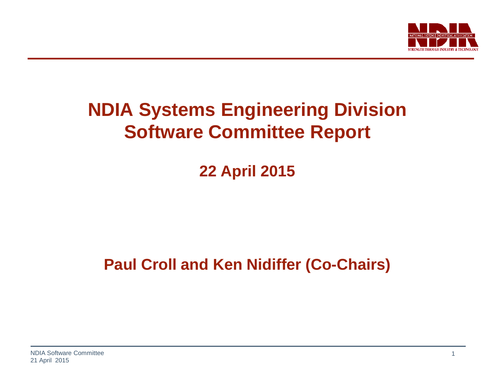

#### **NDIA Systems Engineering Division Software Committee Report**

**22 April 2015**

**Paul Croll and Ken Nidiffer (Co-Chairs)**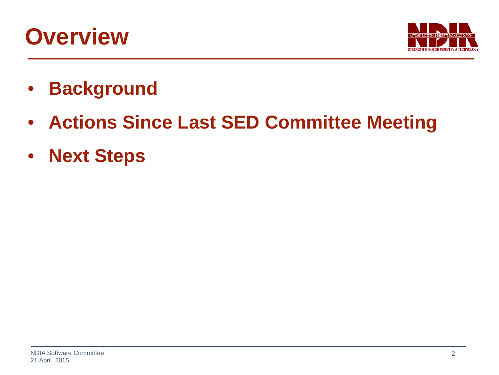### **Overview**



- **Background**
- **Actions Since Last SED Committee Meeting**
- **Next Steps**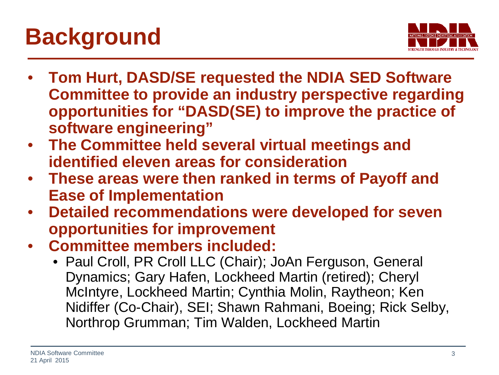# **Background**



- **Tom Hurt, DASD/SE requested the NDIA SED Software Committee to provide an industry perspective regarding opportunities for "DASD(SE) to improve the practice of software engineering"**
- **The Committee held several virtual meetings and identified eleven areas for consideration**
- **These areas were then ranked in terms of Payoff and Ease of Implementation**
- **Detailed recommendations were developed for seven opportunities for improvement**
- **Committee members included:**
	- Paul Croll, PR Croll LLC (Chair); JoAn Ferguson, General Dynamics; Gary Hafen, Lockheed Martin (retired); Cheryl McIntyre, Lockheed Martin; Cynthia Molin, Raytheon; Ken Nidiffer (Co-Chair), SEI; Shawn Rahmani, Boeing; Rick Selby, Northrop Grumman; Tim Walden, Lockheed Martin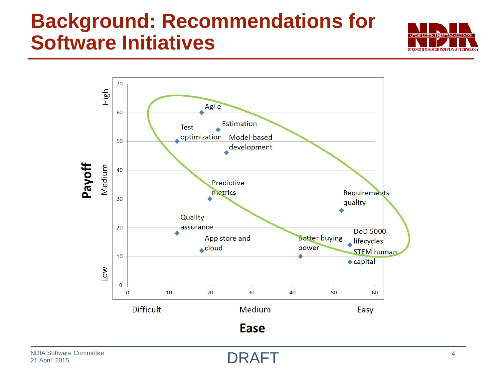### **Background: Recommendations for Software Initiatives**





DRAFT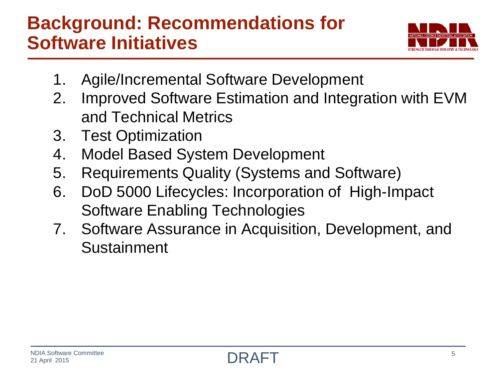#### **Background: Recommendations for Software Initiatives**



- 1. Agile/Incremental Software Development
- 2. Improved Software Estimation and Integration with EVM and Technical Metrics
- 3. Test Optimization
- 4. Model Based System Development
- 5. Requirements Quality (Systems and Software)
- 6. DoD 5000 Lifecycles: Incorporation of High-Impact Software Enabling Technologies
- 7. Software Assurance in Acquisition, Development, and Sustainment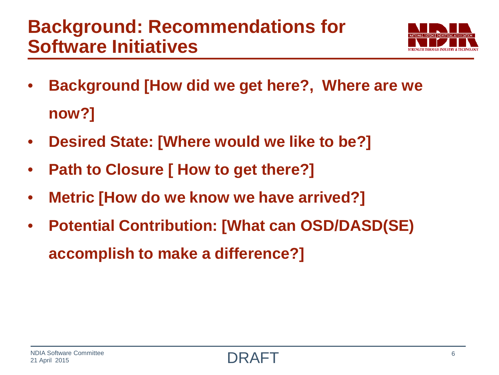#### **Background: Recommendations for Software Initiatives**



- **Background [How did we get here?, Where are we now?]**
- **Desired State: [Where would we like to be?]**
- **Path to Closure [ How to get there?]**
- **Metric [How do we know we have arrived?]**
- **Potential Contribution: [What can OSD/DASD(SE) accomplish to make a difference?]**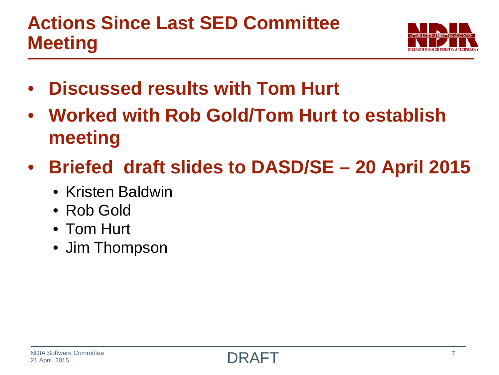

- **Discussed results with Tom Hurt**
- **Worked with Rob Gold/Tom Hurt to establish meeting**
- **Briefed draft slides to DASD/SE – 20 April 2015**
	- Kristen Baldwin
	- Rob Gold
	- Tom Hurt
	- Jim Thompson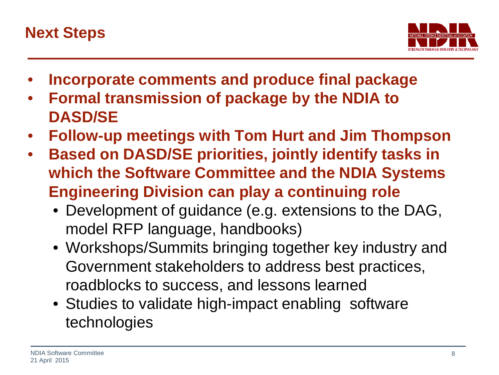

- **Incorporate comments and produce final package**
- **Formal transmission of package by the NDIA to DASD/SE**
- **Follow-up meetings with Tom Hurt and Jim Thompson**
- **Based on DASD/SE priorities, jointly identify tasks in which the Software Committee and the NDIA Systems Engineering Division can play a continuing role**
	- Development of guidance (e.g. extensions to the DAG, model RFP language, handbooks)
	- Workshops/Summits bringing together key industry and Government stakeholders to address best practices, roadblocks to success, and lessons learned
	- Studies to validate high-impact enabling software technologies